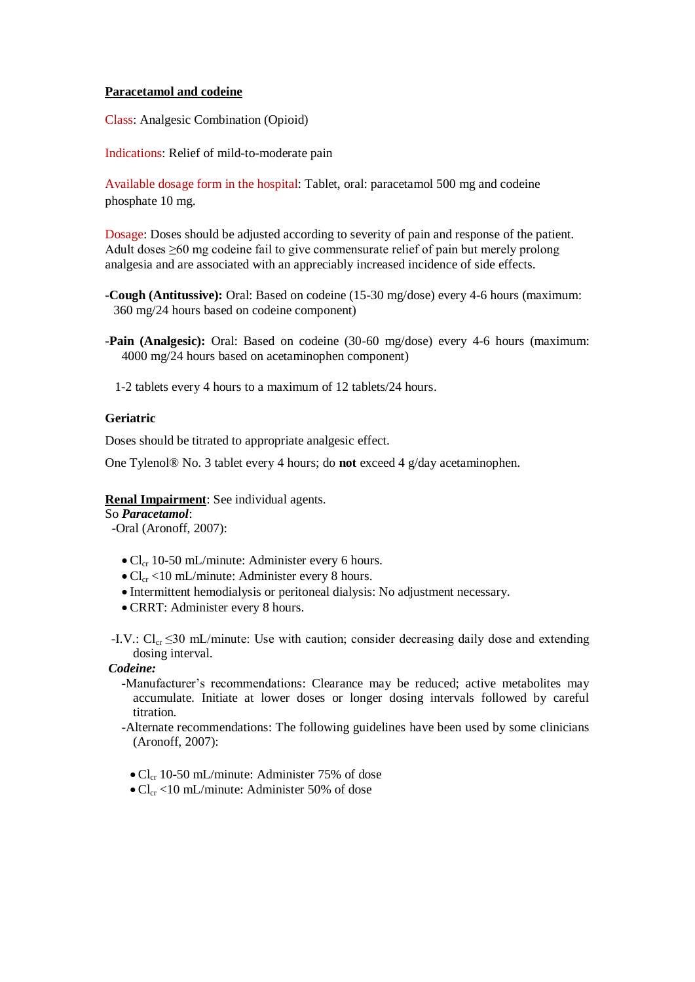## **Paracetamol and codeine**

Class: Analgesic Combination (Opioid)

Indications: Relief of mild-to-moderate pain

Available dosage form in the hospital: Tablet, oral: paracetamol 500 mg and codeine phosphate 10 mg.

Dosage: Doses should be adjusted according to severity of pain and response of the patient. Adult doses ≥60 mg codeine fail to give commensurate relief of pain but merely prolong analgesia and are associated with an appreciably increased incidence of side effects.

**-Cough (Antitussive):** Oral: Based on codeine (15-30 mg/dose) every 4-6 hours (maximum: 360 mg/24 hours based on codeine component)

**-Pain (Analgesic):** Oral: Based on codeine (30-60 mg/dose) every 4-6 hours (maximum: 4000 mg/24 hours based on acetaminophen component)

1-2 tablets every 4 hours to a maximum of 12 tablets/24 hours.

## **Geriatric**

Doses should be titrated to appropriate analgesic effect.

One Tylenol® No. 3 tablet every 4 hours; do **not** exceed 4 g/day acetaminophen.

**Renal Impairment**: See individual agents.

## So *Paracetamol*:

- -Oral (Aronoff, 2007):
	- $\bullet$  Cl<sub>cr</sub> 10-50 mL/minute: Administer every 6 hours.
	- $\bullet$  Cl<sub>cr</sub> <10 mL/minute: Administer every 8 hours.
	- Intermittent hemodialysis or peritoneal dialysis: No adjustment necessary.
	- CRRT: Administer every 8 hours.

-I.V.:  $Cl_{cr} \leq 30$  mL/minute: Use with caution; consider decreasing daily dose and extending dosing interval.

## *Codeine:*

- -Manufacturer's recommendations: Clearance may be reduced; active metabolites may accumulate. Initiate at lower doses or longer dosing intervals followed by careful titration.
- -Alternate recommendations: The following guidelines have been used by some clinicians (Aronoff, 2007):
	- $\bullet$  Cl<sub>cr</sub> 10-50 mL/minute: Administer 75% of dose
	- $\bullet$  Cl<sub>cr</sub> <10 mL/minute: Administer 50% of dose